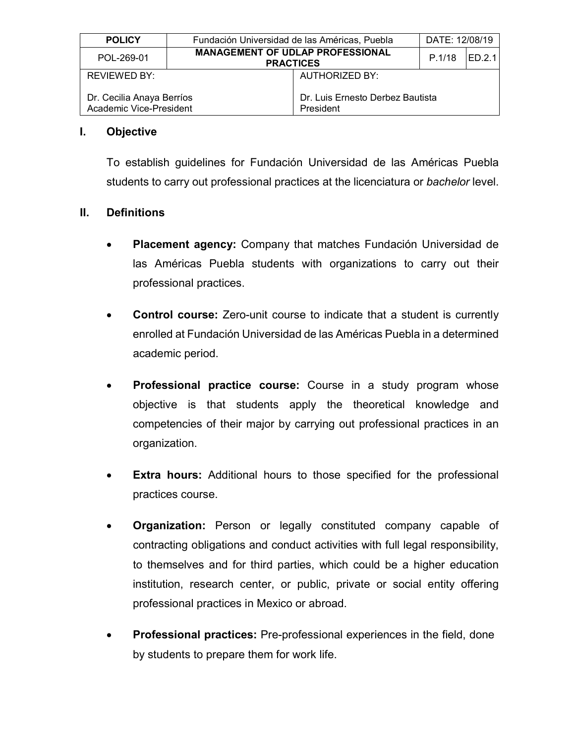| <b>POLICY</b>                                        | Fundación Universidad de las Américas, Puebla |                                                             | DATE: 12/08/19 |        |
|------------------------------------------------------|-----------------------------------------------|-------------------------------------------------------------|----------------|--------|
| POL-269-01                                           |                                               | <b>MANAGEMENT OF UDLAP PROFESSIONAL</b><br><b>PRACTICES</b> | P.1/18         | ED.2.1 |
| <b>REVIEWED BY:</b>                                  |                                               | <b>AUTHORIZED BY:</b>                                       |                |        |
| Dr. Cecilia Anaya Berríos<br>Academic Vice-President |                                               | Dr. Luis Ernesto Derbez Bautista<br>President               |                |        |

#### **I. Objective**

To establish guidelines for Fundación Universidad de las Américas Puebla students to carry out professional practices at the licenciatura or *bachelor* level.

#### **II. Definitions**

- **Placement agency:** Company that matches Fundación Universidad de las Américas Puebla students with organizations to carry out their professional practices.
- **Control course:** Zero-unit course to indicate that a student is currently enrolled at Fundación Universidad de las Américas Puebla in a determined academic period.
- **Professional practice course:** Course in a study program whose objective is that students apply the theoretical knowledge and competencies of their major by carrying out professional practices in an organization.
- **Extra hours:** Additional hours to those specified for the professional practices course.
- **Organization:** Person or legally constituted company capable of contracting obligations and conduct activities with full legal responsibility, to themselves and for third parties, which could be a higher education institution, research center, or public, private or social entity offering professional practices in Mexico or abroad.
- **Professional practices:** Pre-professional experiences in the field, done by students to prepare them for work life.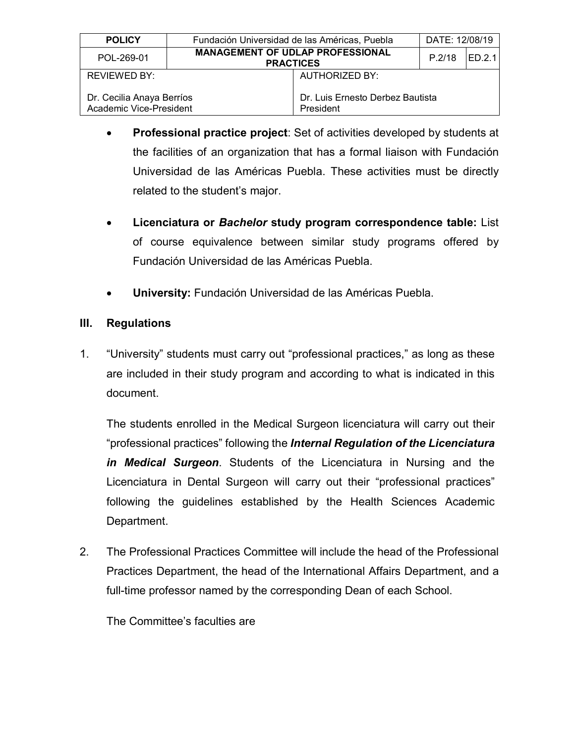| <b>POLICY</b>                                        | Fundación Universidad de las Américas, Puebla |                                                             | DATE: 12/08/19 |               |
|------------------------------------------------------|-----------------------------------------------|-------------------------------------------------------------|----------------|---------------|
| POL-269-01                                           |                                               | <b>MANAGEMENT OF UDLAP PROFESSIONAL</b><br><b>PRACTICES</b> | P.2/18         | <b>ED.2.1</b> |
| REVIEWED BY:                                         |                                               | AUTHORIZED BY:                                              |                |               |
| Dr. Cecilia Anaya Berríos<br>Academic Vice-President |                                               | Dr. Luis Ernesto Derbez Bautista<br>President               |                |               |

- **Professional practice project**: Set of activities developed by students at the facilities of an organization that has a formal liaison with Fundación Universidad de las Américas Puebla. These activities must be directly related to the student's major.
- **Licenciatura or** *Bachelor* **study program correspondence table:** List of course equivalence between similar study programs offered by Fundación Universidad de las Américas Puebla.
- **University:** Fundación Universidad de las Américas Puebla.

# **III. Regulations**

1. "University" students must carry out "professional practices," as long as these are included in their study program and according to what is indicated in this document.

The students enrolled in the Medical Surgeon licenciatura will carry out their "professional practices" following the *Internal Regulation of the Licenciatura in Medical Surgeon*. Students of the Licenciatura in Nursing and the Licenciatura in Dental Surgeon will carry out their "professional practices" following the guidelines established by the Health Sciences Academic Department.

2. The Professional Practices Committee will include the head of the Professional Practices Department, the head of the International Affairs Department, and a full-time professor named by the corresponding Dean of each School.

The Committee's faculties are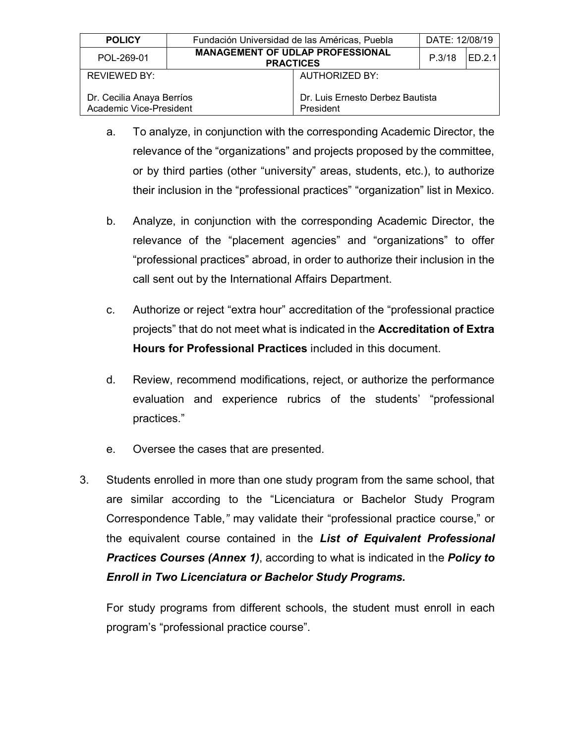| <b>POLICY</b>                                        | Fundación Universidad de las Américas, Puebla |                                                             | DATE: 12/08/19 |         |
|------------------------------------------------------|-----------------------------------------------|-------------------------------------------------------------|----------------|---------|
| POL-269-01                                           |                                               | <b>MANAGEMENT OF UDLAP PROFESSIONAL</b><br><b>PRACTICES</b> | P.3/18         | IED.2.1 |
| REVIEWED BY:                                         |                                               | <b>AUTHORIZED BY:</b>                                       |                |         |
| Dr. Cecilia Anaya Berríos<br>Academic Vice-President |                                               | Dr. Luis Ernesto Derbez Bautista<br>President               |                |         |

- a. To analyze, in conjunction with the corresponding Academic Director, the relevance of the "organizations" and projects proposed by the committee, or by third parties (other "university" areas, students, etc.), to authorize their inclusion in the "professional practices" "organization" list in Mexico.
- b. Analyze, in conjunction with the corresponding Academic Director, the relevance of the "placement agencies" and "organizations" to offer "professional practices" abroad, in order to authorize their inclusion in the call sent out by the International Affairs Department.
- c. Authorize or reject "extra hour" accreditation of the "professional practice projects" that do not meet what is indicated in the **Accreditation of Extra Hours for Professional Practices** included in this document.
- d. Review, recommend modifications, reject, or authorize the performance evaluation and experience rubrics of the students' "professional practices."
- e. Oversee the cases that are presented.
- 3. Students enrolled in more than one study program from the same school, that are similar according to the "Licenciatura or Bachelor Study Program Correspondence Table,*"* may validate their "professional practice course," or the equivalent course contained in the *List of Equivalent Professional Practices Courses (Annex 1)*, according to what is indicated in the *Policy to Enroll in Two Licenciatura or Bachelor Study Programs.*

For study programs from different schools, the student must enroll in each program's "professional practice course".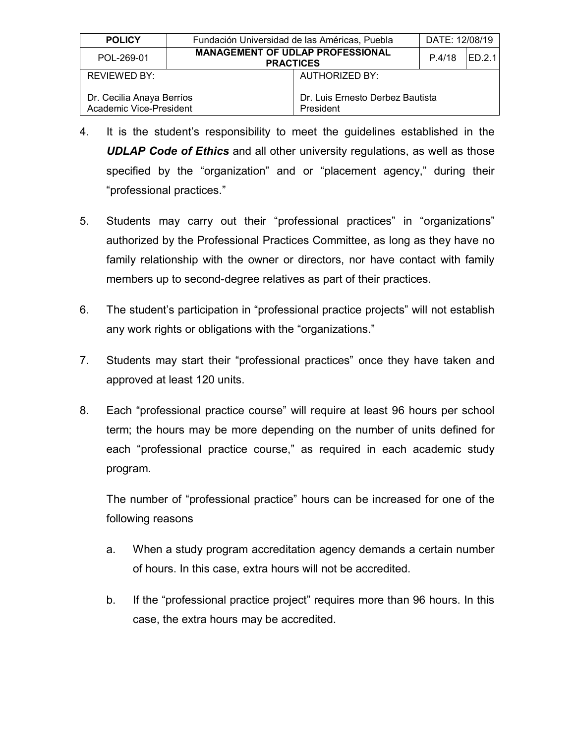| <b>POLICY</b>                                        | Fundación Universidad de las Américas, Puebla |                                                             | DATE: 12/08/19 |        |
|------------------------------------------------------|-----------------------------------------------|-------------------------------------------------------------|----------------|--------|
| POL-269-01                                           |                                               | <b>MANAGEMENT OF UDLAP PROFESSIONAL</b><br><b>PRACTICES</b> | P.4/18         | ED.2.1 |
| REVIEWED BY:                                         |                                               | AUTHORIZED BY:                                              |                |        |
| Dr. Cecilia Anaya Berríos<br>Academic Vice-President |                                               | Dr. Luis Ernesto Derbez Bautista<br>President               |                |        |

- 4. It is the student's responsibility to meet the guidelines established in the *UDLAP Code of Ethics* and all other university regulations, as well as those specified by the "organization" and or "placement agency," during their "professional practices."
- 5. Students may carry out their "professional practices" in "organizations" authorized by the Professional Practices Committee, as long as they have no family relationship with the owner or directors, nor have contact with family members up to second-degree relatives as part of their practices.
- 6. The student's participation in "professional practice projects" will not establish any work rights or obligations with the "organizations."
- 7. Students may start their "professional practices" once they have taken and approved at least 120 units.
- 8. Each "professional practice course" will require at least 96 hours per school term; the hours may be more depending on the number of units defined for each "professional practice course," as required in each academic study program.

The number of "professional practice" hours can be increased for one of the following reasons

- a. When a study program accreditation agency demands a certain number of hours. In this case, extra hours will not be accredited.
- b. If the "professional practice project" requires more than 96 hours. In this case, the extra hours may be accredited.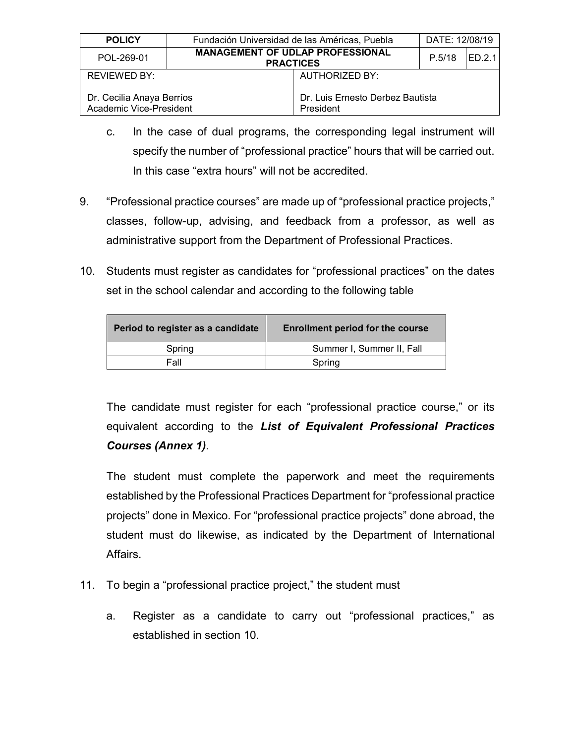| <b>POLICY</b>                                        | Fundación Universidad de las Américas, Puebla |                                                             | DATE: 12/08/19 |        |
|------------------------------------------------------|-----------------------------------------------|-------------------------------------------------------------|----------------|--------|
| POL-269-01                                           |                                               | <b>MANAGEMENT OF UDLAP PROFESSIONAL</b><br><b>PRACTICES</b> | P.5/18         | ED.2.1 |
| <b>REVIEWED BY:</b>                                  |                                               | AUTHORIZED BY:                                              |                |        |
| Dr. Cecilia Anaya Berríos<br>Academic Vice-President |                                               | Dr. Luis Ernesto Derbez Bautista<br>President               |                |        |

- c. In the case of dual programs, the corresponding legal instrument will specify the number of "professional practice" hours that will be carried out. In this case "extra hours" will not be accredited.
- 9. "Professional practice courses" are made up of "professional practice projects," classes, follow-up, advising, and feedback from a professor, as well as administrative support from the Department of Professional Practices.
- 10. Students must register as candidates for "professional practices" on the dates set in the school calendar and according to the following table

| Period to register as a candidate | <b>Enrollment period for the course</b> |
|-----------------------------------|-----------------------------------------|
| Spring                            | Summer I, Summer II, Fall               |
| Fall                              | Spring                                  |
|                                   |                                         |

The candidate must register for each "professional practice course," or its equivalent according to the *List of Equivalent Professional Practices Courses (Annex 1)*.

The student must complete the paperwork and meet the requirements established by the Professional Practices Department for "professional practice projects" done in Mexico. For "professional practice projects" done abroad, the student must do likewise, as indicated by the Department of International Affairs.

- 11. To begin a "professional practice project," the student must
	- a. Register as a candidate to carry out "professional practices," as established in section 10.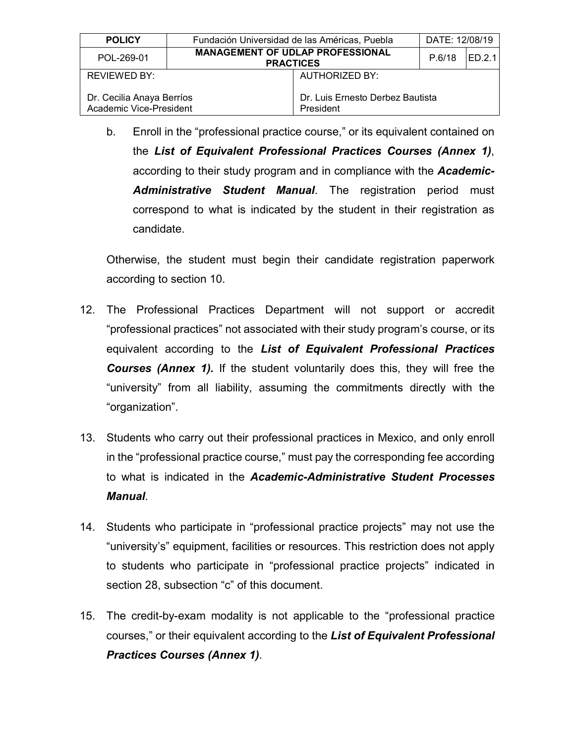| <b>POLICY</b>                                        | Fundación Universidad de las Américas, Puebla               | DATE: 12/08/19 |         |
|------------------------------------------------------|-------------------------------------------------------------|----------------|---------|
| POL-269-01                                           | <b>MANAGEMENT OF UDLAP PROFESSIONAL</b><br><b>PRACTICES</b> | P.6/18         | IED.2.1 |
| REVIEWED BY:                                         | AUTHORIZED BY:                                              |                |         |
| Dr. Cecilia Anaya Berríos<br>Academic Vice-President | Dr. Luis Ernesto Derbez Bautista<br>President               |                |         |

b. Enroll in the "professional practice course," or its equivalent contained on the *List of Equivalent Professional Practices Courses (Annex 1)*, according to their study program and in compliance with the *Academic-Administrative Student Manual*. The registration period must correspond to what is indicated by the student in their registration as candidate.

Otherwise, the student must begin their candidate registration paperwork according to section 10.

- 12. The Professional Practices Department will not support or accredit "professional practices" not associated with their study program's course, or its equivalent according to the *List of Equivalent Professional Practices Courses (Annex 1).* If the student voluntarily does this, they will free the "university" from all liability, assuming the commitments directly with the "organization".
- 13. Students who carry out their professional practices in Mexico, and only enroll in the "professional practice course," must pay the corresponding fee according to what is indicated in the *Academic-Administrative Student Processes Manual*.
- 14. Students who participate in "professional practice projects" may not use the "university's" equipment, facilities or resources. This restriction does not apply to students who participate in "professional practice projects" indicated in section 28, subsection "c" of this document.
- 15. The credit-by-exam modality is not applicable to the "professional practice courses," or their equivalent according to the *List of Equivalent Professional Practices Courses (Annex 1)*.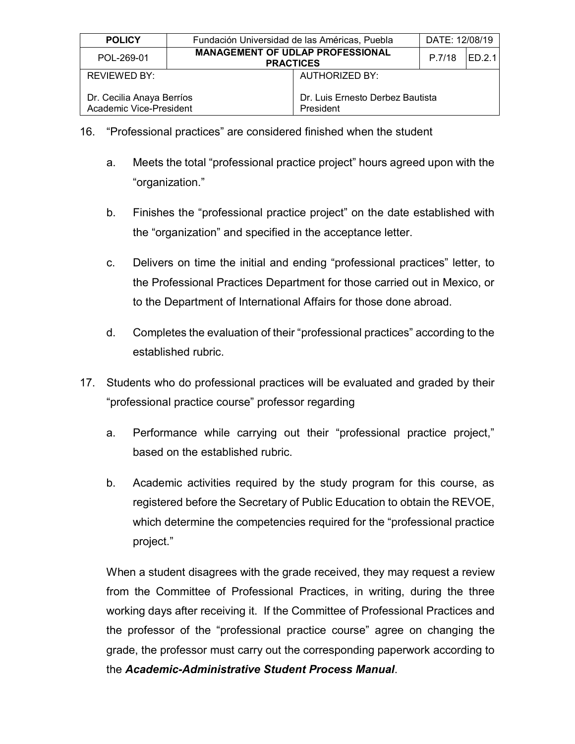| <b>POLICY</b>                                                                                         | Fundación Universidad de las Américas, Puebla |                                                             | DATE: 12/08/19 |        |
|-------------------------------------------------------------------------------------------------------|-----------------------------------------------|-------------------------------------------------------------|----------------|--------|
| POL-269-01                                                                                            |                                               | <b>MANAGEMENT OF UDLAP PROFESSIONAL</b><br><b>PRACTICES</b> | P.7/18         | ED.2.1 |
| REVIEWED BY:                                                                                          |                                               | <b>AUTHORIZED BY:</b>                                       |                |        |
| Dr. Luis Ernesto Derbez Bautista<br>Dr. Cecilia Anaya Berríos<br>Academic Vice-President<br>President |                                               |                                                             |                |        |

- 16. "Professional practices" are considered finished when the student
	- a. Meets the total "professional practice project" hours agreed upon with the "organization."
	- b. Finishes the "professional practice project" on the date established with the "organization" and specified in the acceptance letter.
	- c. Delivers on time the initial and ending "professional practices" letter, to the Professional Practices Department for those carried out in Mexico, or to the Department of International Affairs for those done abroad.
	- d. Completes the evaluation of their "professional practices" according to the established rubric.
- 17. Students who do professional practices will be evaluated and graded by their "professional practice course" professor regarding
	- a. Performance while carrying out their "professional practice project," based on the established rubric.
	- b. Academic activities required by the study program for this course, as registered before the Secretary of Public Education to obtain the REVOE, which determine the competencies required for the "professional practice project."

When a student disagrees with the grade received, they may request a review from the Committee of Professional Practices, in writing, during the three working days after receiving it. If the Committee of Professional Practices and the professor of the "professional practice course" agree on changing the grade, the professor must carry out the corresponding paperwork according to the *Academic-Administrative Student Process Manual*.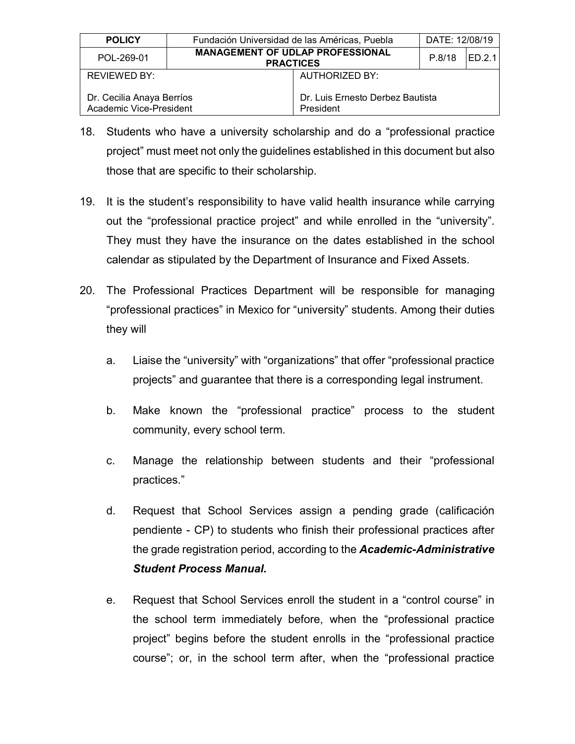| <b>POLICY</b>                                                     | Fundación Universidad de las Américas, Puebla |                                                             | DATE: 12/08/19 |      |
|-------------------------------------------------------------------|-----------------------------------------------|-------------------------------------------------------------|----------------|------|
| POL-269-01                                                        |                                               | <b>MANAGEMENT OF UDLAP PROFESSIONAL</b><br><b>PRACTICES</b> | P.8/18         | FD21 |
| REVIEWED BY:                                                      |                                               | AUTHORIZED BY:                                              |                |      |
| Dr. Cecilia Anaya Berríos<br>Academic Vice-President<br>President |                                               | Dr. Luis Ernesto Derbez Bautista                            |                |      |

- 18. Students who have a university scholarship and do a "professional practice project" must meet not only the guidelines established in this document but also those that are specific to their scholarship.
- 19. It is the student's responsibility to have valid health insurance while carrying out the "professional practice project" and while enrolled in the "university". They must they have the insurance on the dates established in the school calendar as stipulated by the Department of Insurance and Fixed Assets.
- 20. The Professional Practices Department will be responsible for managing "professional practices" in Mexico for "university" students. Among their duties they will
	- a. Liaise the "university" with "organizations" that offer "professional practice projects" and guarantee that there is a corresponding legal instrument.
	- b. Make known the "professional practice" process to the student community, every school term.
	- c. Manage the relationship between students and their "professional practices."
	- d. Request that School Services assign a pending grade (calificación pendiente - CP) to students who finish their professional practices after the grade registration period, according to the *Academic-Administrative Student Process Manual.*
	- e. Request that School Services enroll the student in a "control course" in the school term immediately before, when the "professional practice project" begins before the student enrolls in the "professional practice course"; or, in the school term after, when the "professional practice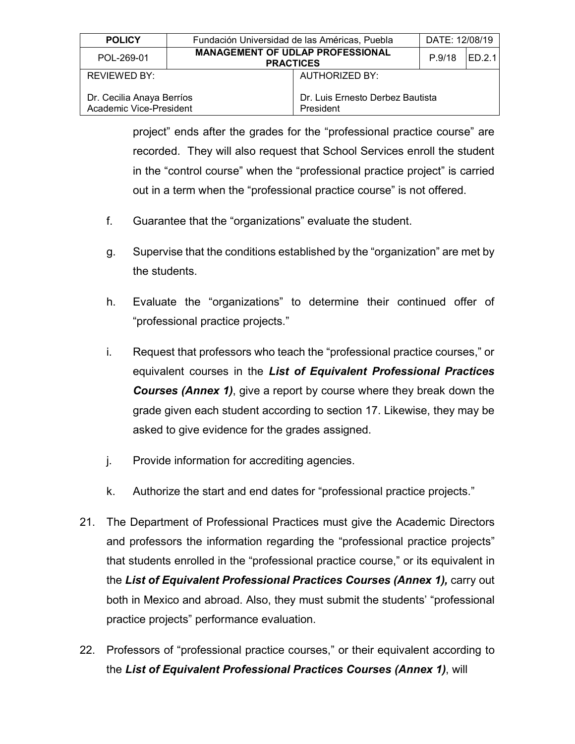| <b>POLICY</b>                                        | Fundación Universidad de las Américas, Puebla               | DATE: 12/08/19 |               |
|------------------------------------------------------|-------------------------------------------------------------|----------------|---------------|
| POL-269-01                                           | <b>MANAGEMENT OF UDLAP PROFESSIONAL</b><br><b>PRACTICES</b> | P.9/18         | <b>ED.2.1</b> |
| REVIEWED BY:                                         | <b>AUTHORIZED BY:</b>                                       |                |               |
| Dr. Cecilia Anaya Berríos<br>Academic Vice-President | Dr. Luis Ernesto Derbez Bautista<br>President               |                |               |

project" ends after the grades for the "professional practice course" are recorded. They will also request that School Services enroll the student in the "control course" when the "professional practice project" is carried out in a term when the "professional practice course" is not offered.

- f. Guarantee that the "organizations" evaluate the student.
- g. Supervise that the conditions established by the "organization" are met by the students.
- h. Evaluate the "organizations" to determine their continued offer of "professional practice projects."
- i. Request that professors who teach the "professional practice courses," or equivalent courses in the *List of Equivalent Professional Practices Courses (Annex 1)*, give a report by course where they break down the grade given each student according to section 17. Likewise, they may be asked to give evidence for the grades assigned.
- j. Provide information for accrediting agencies.
- k. Authorize the start and end dates for "professional practice projects."
- 21. The Department of Professional Practices must give the Academic Directors and professors the information regarding the "professional practice projects" that students enrolled in the "professional practice course," or its equivalent in the *List of Equivalent Professional Practices Courses (Annex 1),* carry out both in Mexico and abroad. Also, they must submit the students' "professional practice projects" performance evaluation.
- 22. Professors of "professional practice courses," or their equivalent according to the *List of Equivalent Professional Practices Courses (Annex 1)*, will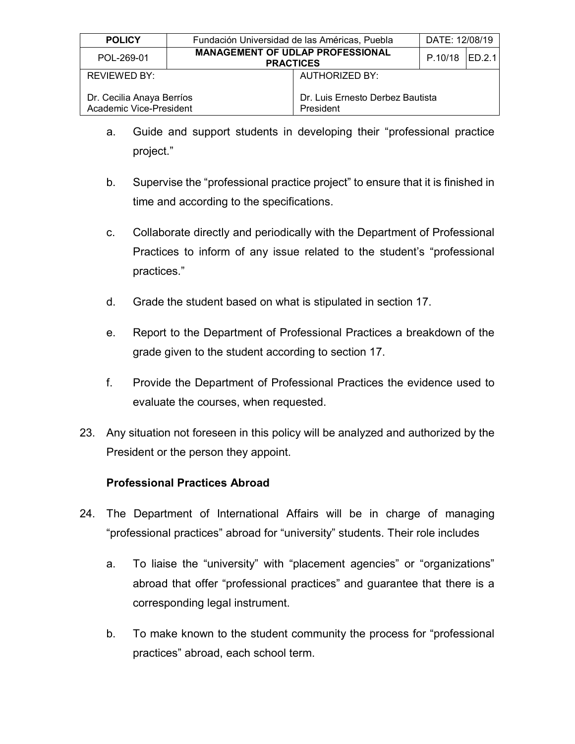| <b>POLICY</b>                                        | Fundación Universidad de las Américas, Puebla |                                                             | DATE: 12/08/19 |  |
|------------------------------------------------------|-----------------------------------------------|-------------------------------------------------------------|----------------|--|
| POL-269-01                                           |                                               | <b>MANAGEMENT OF UDLAP PROFESSIONAL</b><br><b>PRACTICES</b> | P.10/18 ED.2.1 |  |
| REVIEWED BY:                                         |                                               | <b>AUTHORIZED BY:</b>                                       |                |  |
| Dr. Cecilia Anaya Berríos<br>Academic Vice-President |                                               | Dr. Luis Ernesto Derbez Bautista<br>President               |                |  |

- a. Guide and support students in developing their "professional practice project."
- b. Supervise the "professional practice project" to ensure that it is finished in time and according to the specifications.
- c. Collaborate directly and periodically with the Department of Professional Practices to inform of any issue related to the student's "professional practices."
- d. Grade the student based on what is stipulated in section 17.
- e. Report to the Department of Professional Practices a breakdown of the grade given to the student according to section 17.
- f. Provide the Department of Professional Practices the evidence used to evaluate the courses, when requested.
- 23. Any situation not foreseen in this policy will be analyzed and authorized by the President or the person they appoint.

#### **Professional Practices Abroad**

- 24. The Department of International Affairs will be in charge of managing "professional practices" abroad for "university" students. Their role includes
	- a. To liaise the "university" with "placement agencies" or "organizations" abroad that offer "professional practices" and guarantee that there is a corresponding legal instrument.
	- b. To make known to the student community the process for "professional practices" abroad, each school term.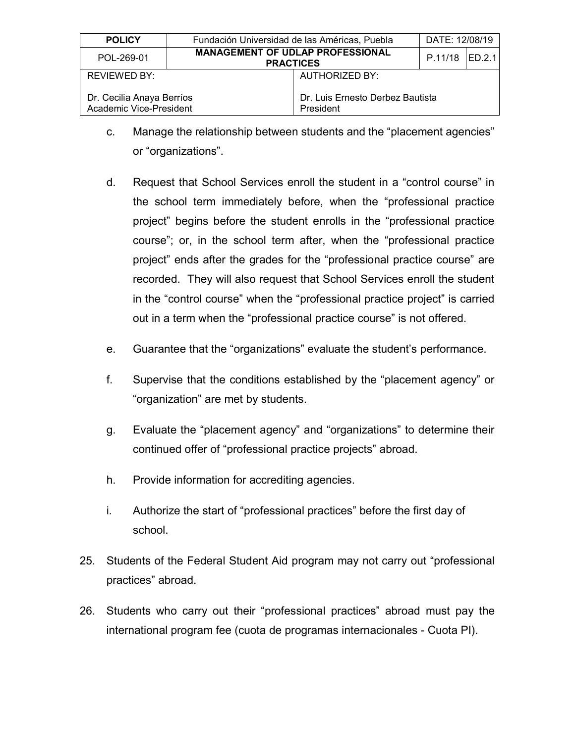| <b>POLICY</b>                                        | Fundación Universidad de las Américas, Puebla               |                                               | DATE: 12/08/19 |  |
|------------------------------------------------------|-------------------------------------------------------------|-----------------------------------------------|----------------|--|
| POL-269-01                                           | <b>MANAGEMENT OF UDLAP PROFESSIONAL</b><br><b>PRACTICES</b> |                                               | P.11/18 ED.2.1 |  |
| REVIEWED BY:                                         |                                                             | <b>AUTHORIZED BY:</b>                         |                |  |
| Dr. Cecilia Anaya Berríos<br>Academic Vice-President |                                                             | Dr. Luis Ernesto Derbez Bautista<br>President |                |  |

- c. Manage the relationship between students and the "placement agencies" or "organizations".
- d. Request that School Services enroll the student in a "control course" in the school term immediately before, when the "professional practice project" begins before the student enrolls in the "professional practice course"; or, in the school term after, when the "professional practice project" ends after the grades for the "professional practice course" are recorded. They will also request that School Services enroll the student in the "control course" when the "professional practice project" is carried out in a term when the "professional practice course" is not offered.
- e. Guarantee that the "organizations" evaluate the student's performance.
- f. Supervise that the conditions established by the "placement agency" or "organization" are met by students.
- g. Evaluate the "placement agency" and "organizations" to determine their continued offer of "professional practice projects" abroad.
- h. Provide information for accrediting agencies.
- i. Authorize the start of "professional practices" before the first day of school.
- 25. Students of the Federal Student Aid program may not carry out "professional practices" abroad.
- 26. Students who carry out their "professional practices" abroad must pay the international program fee (cuota de programas internacionales - Cuota PI).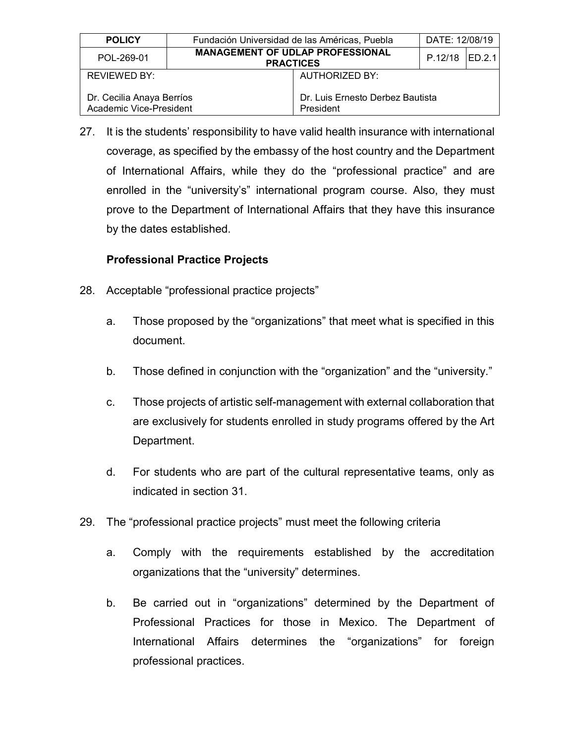| <b>POLICY</b>                                        | Fundación Universidad de las Américas, Puebla               |                                               | DATE: 12/08/19  |  |
|------------------------------------------------------|-------------------------------------------------------------|-----------------------------------------------|-----------------|--|
| POL-269-01                                           | <b>MANAGEMENT OF UDLAP PROFESSIONAL</b><br><b>PRACTICES</b> |                                               | P.12/18 IED.2.1 |  |
| AUTHORIZED BY:<br>REVIEWED BY:                       |                                                             |                                               |                 |  |
| Dr. Cecilia Anaya Berríos<br>Academic Vice-President |                                                             | Dr. Luis Ernesto Derbez Bautista<br>President |                 |  |

27. It is the students' responsibility to have valid health insurance with international coverage, as specified by the embassy of the host country and the Department of International Affairs, while they do the "professional practice" and are enrolled in the "university's" international program course. Also, they must prove to the Department of International Affairs that they have this insurance by the dates established.

# **Professional Practice Projects**

- 28. Acceptable "professional practice projects"
	- a. Those proposed by the "organizations" that meet what is specified in this document.
	- b. Those defined in conjunction with the "organization" and the "university."
	- c. Those projects of artistic self-management with external collaboration that are exclusively for students enrolled in study programs offered by the Art Department.
	- d. For students who are part of the cultural representative teams, only as indicated in section 31.
- 29. The "professional practice projects" must meet the following criteria
	- a. Comply with the requirements established by the accreditation organizations that the "university" determines.
	- b. Be carried out in "organizations" determined by the Department of Professional Practices for those in Mexico. The Department of International Affairs determines the "organizations" for foreign professional practices.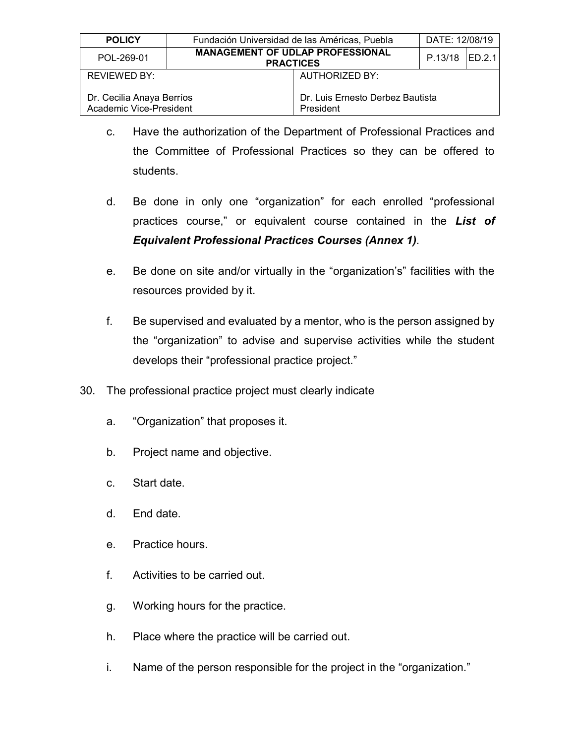| <b>POLICY</b>                                        | Fundación Universidad de las Américas, Puebla               |                                               | DATE: 12/08/19 |  |  |
|------------------------------------------------------|-------------------------------------------------------------|-----------------------------------------------|----------------|--|--|
| POL-269-01                                           | <b>MANAGEMENT OF UDLAP PROFESSIONAL</b><br><b>PRACTICES</b> |                                               | P.13/18 ED.2.1 |  |  |
| REVIEWED BY:                                         |                                                             | <b>AUTHORIZED BY:</b>                         |                |  |  |
| Dr. Cecilia Anaya Berríos<br>Academic Vice-President |                                                             | Dr. Luis Ernesto Derbez Bautista<br>President |                |  |  |

- c. Have the authorization of the Department of Professional Practices and the Committee of Professional Practices so they can be offered to students.
- d. Be done in only one "organization" for each enrolled "professional practices course," or equivalent course contained in the *List of Equivalent Professional Practices Courses (Annex 1)*.
- e. Be done on site and/or virtually in the "organization's" facilities with the resources provided by it.
- f. Be supervised and evaluated by a mentor, who is the person assigned by the "organization" to advise and supervise activities while the student develops their "professional practice project."
- 30. The professional practice project must clearly indicate
	- a. "Organization" that proposes it.
	- b. Project name and objective.
	- c. Start date.
	- d. End date.
	- e. Practice hours.
	- f. Activities to be carried out.
	- g. Working hours for the practice.
	- h. Place where the practice will be carried out.
	- i. Name of the person responsible for the project in the "organization."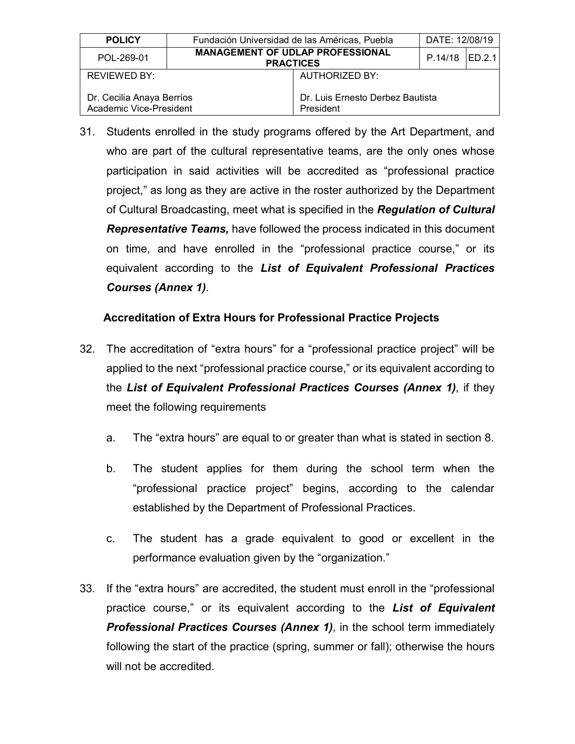| <b>POLICY</b>                                        | Fundación Universidad de las Américas, Puebla               |                                               | DATE: 12/08/19   |  |  |
|------------------------------------------------------|-------------------------------------------------------------|-----------------------------------------------|------------------|--|--|
| POL-269-01                                           | <b>MANAGEMENT OF UDLAP PROFESSIONAL</b><br><b>PRACTICES</b> |                                               | $P.14/18$ ED.2.1 |  |  |
| REVIEWED BY:                                         |                                                             | AUTHORIZED BY:                                |                  |  |  |
| Dr. Cecilia Anaya Berríos<br>Academic Vice-President |                                                             | Dr. Luis Ernesto Derbez Bautista<br>President |                  |  |  |

31. Students enrolled in the study programs offered by the Art Department, and who are part of the cultural representative teams, are the only ones whose participation in said activities will be accredited as "professional practice project," as long as they are active in the roster authorized by the Department of Cultural Broadcasting, meet what is specified in the *Regulation of Cultural Representative Teams,* have followed the process indicated in this document on time, and have enrolled in the "professional practice course," or its equivalent according to the *List of Equivalent Professional Practices Courses (Annex 1)*.

#### **Accreditation of Extra Hours for Professional Practice Projects**

- 32. The accreditation of "extra hours" for a "professional practice project" will be applied to the next "professional practice course," or its equivalent according to the *List of Equivalent Professional Practices Courses (Annex 1)*, if they meet the following requirements
	- a. The "extra hours" are equal to or greater than what is stated in section 8.
	- b. The student applies for them during the school term when the "professional practice project" begins, according to the calendar established by the Department of Professional Practices.
	- c. The student has a grade equivalent to good or excellent in the performance evaluation given by the "organization."
- 33. If the "extra hours" are accredited, the student must enroll in the "professional practice course," or its equivalent according to the *List of Equivalent Professional Practices Courses (Annex 1)*, in the school term immediately following the start of the practice (spring, summer or fall); otherwise the hours will not be accredited.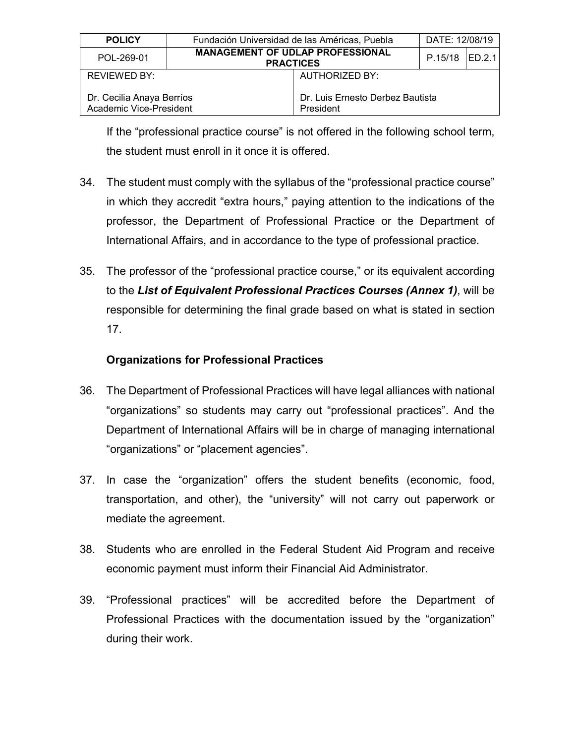| <b>POLICY</b>                                        | Fundación Universidad de las Américas, Puebla               |                                               | DATE: 12/08/19 |  |  |
|------------------------------------------------------|-------------------------------------------------------------|-----------------------------------------------|----------------|--|--|
| POL-269-01                                           | <b>MANAGEMENT OF UDLAP PROFESSIONAL</b><br><b>PRACTICES</b> |                                               | P.15/18 ED.2.1 |  |  |
| REVIEWED BY:                                         |                                                             | <b>AUTHORIZED BY:</b>                         |                |  |  |
| Dr. Cecilia Anaya Berríos<br>Academic Vice-President |                                                             | Dr. Luis Ernesto Derbez Bautista<br>President |                |  |  |

If the "professional practice course" is not offered in the following school term, the student must enroll in it once it is offered.

- 34. The student must comply with the syllabus of the "professional practice course" in which they accredit "extra hours," paying attention to the indications of the professor, the Department of Professional Practice or the Department of International Affairs, and in accordance to the type of professional practice.
- 35. The professor of the "professional practice course," or its equivalent according to the *List of Equivalent Professional Practices Courses (Annex 1)*, will be responsible for determining the final grade based on what is stated in section 17.

#### **Organizations for Professional Practices**

- 36. The Department of Professional Practices will have legal alliances with national "organizations" so students may carry out "professional practices". And the Department of International Affairs will be in charge of managing international "organizations" or "placement agencies".
- 37. In case the "organization" offers the student benefits (economic, food, transportation, and other), the "university" will not carry out paperwork or mediate the agreement.
- 38. Students who are enrolled in the Federal Student Aid Program and receive economic payment must inform their Financial Aid Administrator.
- 39. "Professional practices" will be accredited before the Department of Professional Practices with the documentation issued by the "organization" during their work.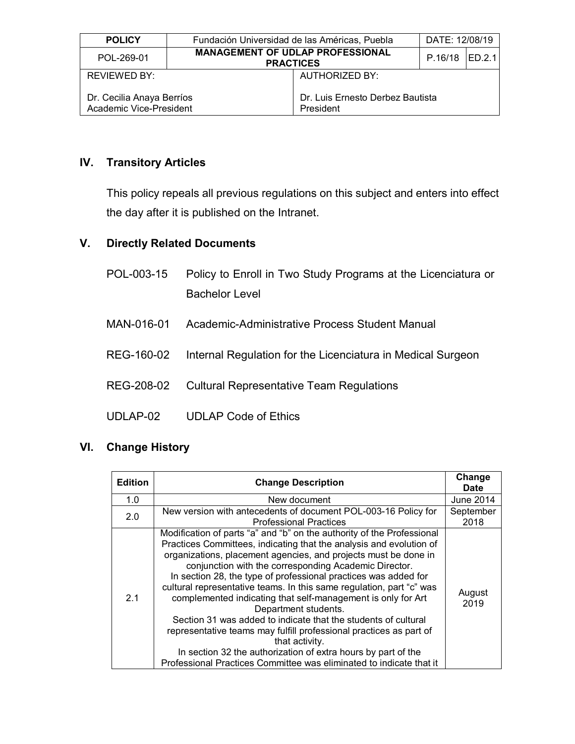| <b>POLICY</b>                                        | Fundación Universidad de las Américas, Puebla               |                                               | DATE: 12/08/19 |  |  |
|------------------------------------------------------|-------------------------------------------------------------|-----------------------------------------------|----------------|--|--|
| POL-269-01                                           | <b>MANAGEMENT OF UDLAP PROFESSIONAL</b><br><b>PRACTICES</b> |                                               | P.16/18 ED.2.1 |  |  |
| REVIEWED BY:                                         |                                                             | AUTHORIZED BY:                                |                |  |  |
| Dr. Cecilia Anaya Berríos<br>Academic Vice-President |                                                             | Dr. Luis Ernesto Derbez Bautista<br>President |                |  |  |

#### **IV. Transitory Articles**

This policy repeals all previous regulations on this subject and enters into effect the day after it is published on the Intranet.

#### **V. Directly Related Documents**

- POL-003-15 Policy to Enroll in Two Study Programs at the Licenciatura or Bachelor Level
- MAN-016-01 Academic-Administrative Process Student Manual
- REG-160-02 Internal Regulation for the Licenciatura in Medical Surgeon
- REG-208-02 Cultural Representative Team Regulations
- UDLAP-02 UDLAP Code of Ethics

#### **VI. Change History**

| <b>Edition</b> | <b>Change Description</b>                                                                                                                                                                                                                                                                                                                                                                                                                                                                                                                                                                                                                                                                                                                                                                                      |                  |
|----------------|----------------------------------------------------------------------------------------------------------------------------------------------------------------------------------------------------------------------------------------------------------------------------------------------------------------------------------------------------------------------------------------------------------------------------------------------------------------------------------------------------------------------------------------------------------------------------------------------------------------------------------------------------------------------------------------------------------------------------------------------------------------------------------------------------------------|------------------|
| 1.0            | New document                                                                                                                                                                                                                                                                                                                                                                                                                                                                                                                                                                                                                                                                                                                                                                                                   | <b>June 2014</b> |
| 2.0            | September<br>New version with antecedents of document POL-003-16 Policy for<br><b>Professional Practices</b>                                                                                                                                                                                                                                                                                                                                                                                                                                                                                                                                                                                                                                                                                                   |                  |
| 2.1            | Modification of parts "a" and "b" on the authority of the Professional<br>Practices Committees, indicating that the analysis and evolution of<br>organizations, placement agencies, and projects must be done in<br>conjunction with the corresponding Academic Director.<br>In section 28, the type of professional practices was added for<br>cultural representative teams. In this same regulation, part "c" was<br>complemented indicating that self-management is only for Art<br>Department students.<br>Section 31 was added to indicate that the students of cultural<br>representative teams may fulfill professional practices as part of<br>that activity.<br>In section 32 the authorization of extra hours by part of the<br>Professional Practices Committee was eliminated to indicate that it | August<br>2019   |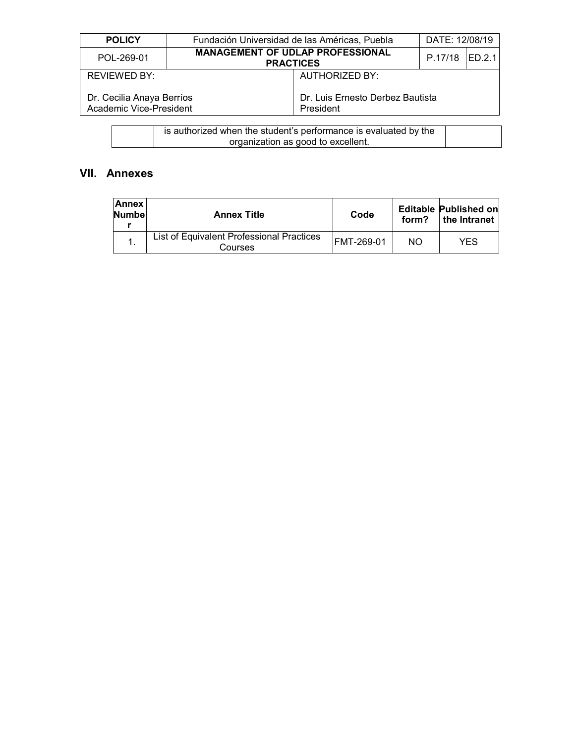| <b>POLICY</b>                                        | Fundación Universidad de las Américas, Puebla               |                                               | DATE: 12/08/19  |  |
|------------------------------------------------------|-------------------------------------------------------------|-----------------------------------------------|-----------------|--|
| POL-269-01                                           | <b>MANAGEMENT OF UDLAP PROFESSIONAL</b><br><b>PRACTICES</b> |                                               | P.17/18 IED.2.1 |  |
| <b>REVIEWED BY:</b>                                  | AUTHORIZED BY:                                              |                                               |                 |  |
| Dr. Cecilia Anaya Berríos<br>Academic Vice-President |                                                             | Dr. Luis Ernesto Derbez Bautista<br>President |                 |  |

| is authorized when the student's performance is evaluated by the |  |
|------------------------------------------------------------------|--|
| organization as good to excellent.                               |  |

# **VII. Annexes**

| <b>Annex</b><br><b>Numbel</b> | <b>Annex Title</b>                                   | Code       | form? | Editable Published on<br>the Intranet |
|-------------------------------|------------------------------------------------------|------------|-------|---------------------------------------|
|                               | List of Equivalent Professional Practices<br>Courses | FMT-269-01 | NΟ    | YES.                                  |